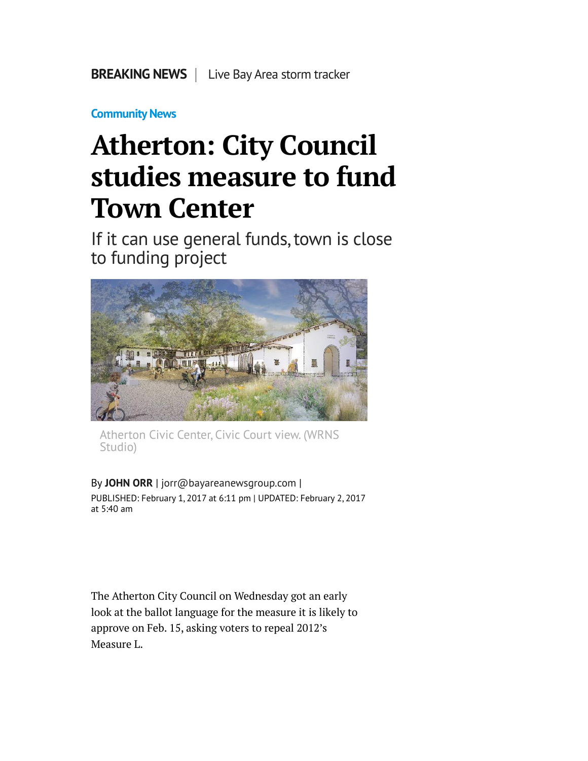**[Community News](http://www.mercurynews.com/community-news/)**

## **Atherton: City Council studies measure to fund Town Center**

If it can use general funds, town is close to funding project



Atherton Civic Center, Civic Court view. (WRNS Studio)

By **[JOHN ORR](http://www.mercurynews.com/author/john-orr/)** | [jorr@bayareanewsgroup.com](mailto:jorr@bayareanewsgroup.com) | PUBLISHED: February 1, 2017 at 6:11 pm | UPDATED: February 2, 2017 at 5:40 am

The Atherton City Council on Wednesday got an early look at the ballot language for the measure it is likely to approve on Feb. 15, asking voters to repeal 2012's Measure L.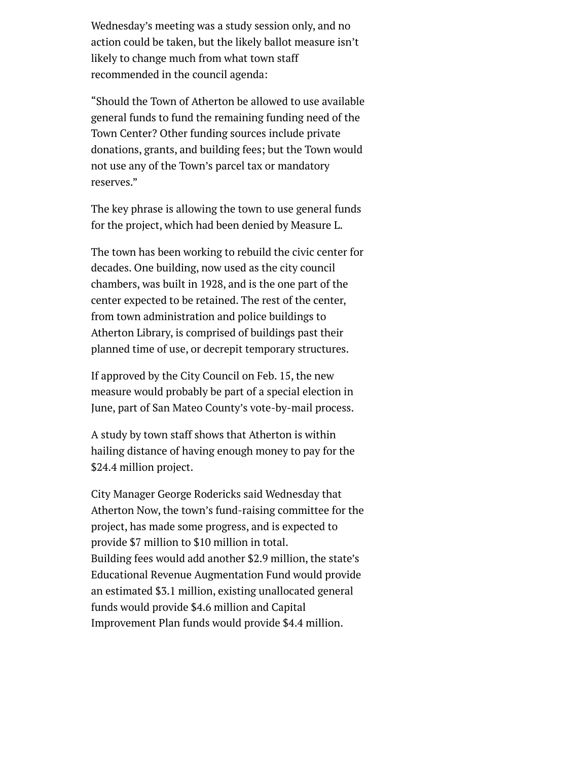Wednesday's meeting was a study session only, and no action could be taken, but the likely ballot measure isn't likely to change much from what town staff recommended in the council agenda:

"Should the Town of Atherton be allowed to use available general funds to fund the remaining funding need of the Town Center? Other funding sources include private donations, grants, and building fees; but the Town would not use any of the Town's parcel tax or mandatory reserves."

The key phrase is allowing the town to use general funds for the project, which had been denied by Measure L.

The town has been working to rebuild the civic center for decades. One building, now used as the city council chambers, was built in 1928, and is the one part of the center expected to be retained. The rest of the center, from town administration and police buildings to Atherton Library, is comprised of buildings past their planned time of use, or decrepit temporary structures.

If approved by the City Council on Feb. 15, the new measure would probably be part of a special election in June, part of San Mateo County's vote-by-mail process.

A study by town staff shows that Atherton is within hailing distance of having enough money to pay for the \$24.4 million project.

City Manager George Rodericks said Wednesday that Atherton Now, the town's fund-raising committee for the project, has made some progress, and is expected to provide \$7 million to \$10 million in total. Building fees would add another \$2.9 million, the state's Educational Revenue Augmentation Fund would provide an estimated \$3.1 million, existing unallocated general funds would provide \$4.6 million and Capital Improvement Plan funds would provide \$4.4 million.